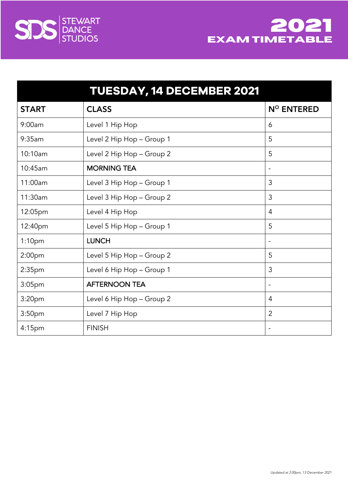



|                    | <b>TUESDAY, 14 DECEMBER 2021</b> |                          |
|--------------------|----------------------------------|--------------------------|
| <b>START</b>       | <b>CLASS</b>                     | N <sup>o</sup> ENTERED   |
| 9:00am             | Level 1 Hip Hop                  | 6                        |
| 9:35am             | Level 2 Hip Hop - Group 1        | 5                        |
| 10:10am            | Level 2 Hip Hop - Group 2        | 5                        |
| 10:45am            | <b>MORNING TEA</b>               | $\overline{\phantom{a}}$ |
| 11:00am            | Level 3 Hip Hop - Group 1        | 3                        |
| 11:30am            | Level 3 Hip Hop - Group 2        | 3                        |
| 12:05pm            | Level 4 Hip Hop                  | $\overline{4}$           |
| 12:40pm            | Level 5 Hip Hop - Group 1        | 5                        |
| 1:10pm             | <b>LUNCH</b>                     | $\overline{\phantom{a}}$ |
| 2:00 <sub>pm</sub> | Level 5 Hip Hop - Group 2        | 5                        |
| 2:35 <sub>pm</sub> | Level 6 Hip Hop - Group 1        | 3                        |
| 3:05pm             | <b>AFTERNOON TEA</b>             | $\overline{\phantom{a}}$ |
| 3:20 <sub>pm</sub> | Level 6 Hip Hop - Group 2        | $\overline{4}$           |
| 3:50 <sub>pm</sub> | Level 7 Hip Hop                  | $\overline{2}$           |
| 4:15pm             | <b>FINISH</b>                    | $\overline{\phantom{a}}$ |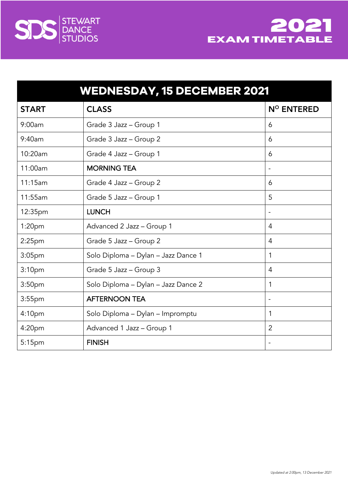



| <b>WEDNESDAY, 15 DECEMBER 2021</b> |                                     |                          |
|------------------------------------|-------------------------------------|--------------------------|
| <b>START</b>                       | <b>CLASS</b>                        | N° ENTERED               |
| 9:00am                             | Grade 3 Jazz - Group 1              | 6                        |
| 9:40am                             | Grade 3 Jazz - Group 2              | 6                        |
| 10:20am                            | Grade 4 Jazz - Group 1              | 6                        |
| 11:00am                            | <b>MORNING TEA</b>                  |                          |
| 11:15am                            | Grade 4 Jazz - Group 2              | 6                        |
| 11:55am                            | Grade 5 Jazz - Group 1              | 5                        |
| 12:35pm                            | <b>LUNCH</b>                        | $\overline{\phantom{a}}$ |
| 1:20 <sub>pm</sub>                 | Advanced 2 Jazz - Group 1           | 4                        |
| $2:25$ pm                          | Grade 5 Jazz - Group 2              | 4                        |
| 3:05 <sub>pm</sub>                 | Solo Diploma - Dylan - Jazz Dance 1 | $\mathbf{1}$             |
| 3:10 <sub>pm</sub>                 | Grade 5 Jazz - Group 3              | $\overline{4}$           |
| 3:50pm                             | Solo Diploma - Dylan - Jazz Dance 2 | $\mathbf{1}$             |
| $3:55$ pm                          | <b>AFTERNOON TEA</b>                | $\overline{\phantom{a}}$ |
| 4:10 <sub>pm</sub>                 | Solo Diploma - Dylan - Impromptu    | $\mathbf{1}$             |
| 4:20pm                             | Advanced 1 Jazz - Group 1           | $\overline{2}$           |
| 5:15pm                             | <b>FINISH</b>                       |                          |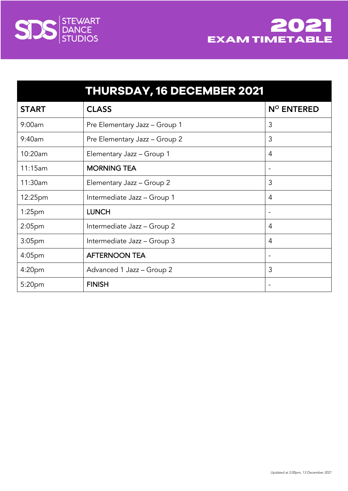



|                    | <b>THURSDAY, 16 DECEMBER 2021</b> |                              |
|--------------------|-----------------------------------|------------------------------|
| <b>START</b>       | <b>CLASS</b>                      | N <sup>o</sup> ENTERED       |
| 9:00am             | Pre Elementary Jazz - Group 1     | 3                            |
| 9:40am             | Pre Elementary Jazz - Group 2     | 3                            |
| 10:20am            | Elementary Jazz - Group 1         | 4                            |
| 11:15am            | <b>MORNING TEA</b>                | $\qquad \qquad \blacksquare$ |
| 11:30am            | Elementary Jazz - Group 2         | 3                            |
| 12:25pm            | Intermediate Jazz - Group 1       | 4                            |
| 1:25 <sub>pm</sub> | <b>LUNCH</b>                      | $\overline{\phantom{a}}$     |
| 2:05 <sub>pm</sub> | Intermediate Jazz - Group 2       | 4                            |
| 3:05 <sub>pm</sub> | Intermediate Jazz - Group 3       | 4                            |
| 4:05 <sub>pm</sub> | <b>AFTERNOON TEA</b>              |                              |
| 4:20pm             | Advanced 1 Jazz - Group 2         | 3                            |
| 5:20pm             | <b>FINISH</b>                     |                              |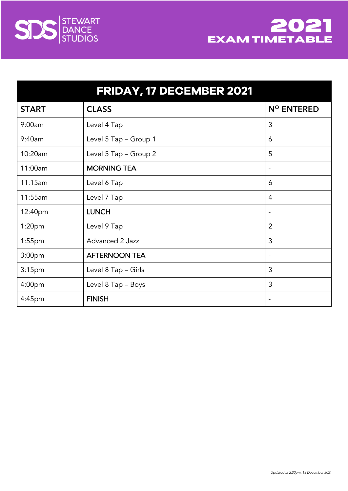



| FRIDAY, 17 DECEMBER 2021 |                       |                        |
|--------------------------|-----------------------|------------------------|
| <b>START</b>             | <b>CLASS</b>          | N <sup>o</sup> ENTERED |
| 9:00am                   | Level 4 Tap           | 3                      |
| 9:40am                   | Level 5 Tap - Group 1 | 6                      |
| 10:20am                  | Level 5 Tap - Group 2 | 5                      |
| 11:00am                  | <b>MORNING TEA</b>    | $\overline{a}$         |
| 11:15am                  | Level 6 Tap           | 6                      |
| 11:55am                  | Level 7 Tap           | 4                      |
| 12:40pm                  | <b>LUNCH</b>          | -                      |
| 1:20 <sub>pm</sub>       | Level 9 Tap           | $\overline{2}$         |
| $1:55$ pm                | Advanced 2 Jazz       | 3                      |
| 3:00 <sub>pm</sub>       | <b>AFTERNOON TEA</b>  | -                      |
| 3:15 <sub>pm</sub>       | Level 8 Tap - Girls   | 3                      |
| 4:00pm                   | Level 8 Tap - Boys    | 3                      |
| 4:45pm                   | <b>FINISH</b>         | ۰                      |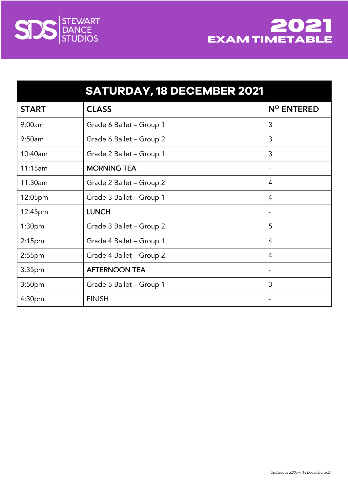



|                    | <b>SATURDAY, 18 DECEMBER 2021</b> |                          |
|--------------------|-----------------------------------|--------------------------|
| <b>START</b>       | <b>CLASS</b>                      | $N^{\circ}$ ENTERED      |
| 9:00am             | Grade 6 Ballet - Group 1          | 3                        |
| 9:50am             | Grade 6 Ballet - Group 2          | 3                        |
| 10:40am            | Grade 2 Ballet - Group 1          | 3                        |
| 11:15am            | <b>MORNING TEA</b>                | $\overline{\phantom{a}}$ |
| 11:30am            | Grade 2 Ballet - Group 2          | $\overline{4}$           |
| 12:05pm            | Grade 3 Ballet - Group 1          | 4                        |
| 12:45pm            | <b>LUNCH</b>                      |                          |
| 1:30pm             | Grade 3 Ballet - Group 2          | 5                        |
| 2:15 <sub>pm</sub> | Grade 4 Ballet - Group 1          | $\overline{4}$           |
| $2:55$ pm          | Grade 4 Ballet - Group 2          | $\overline{4}$           |
| 3:35 <sub>pm</sub> | <b>AFTERNOON TEA</b>              | $\overline{\phantom{a}}$ |
| 3:50 <sub>pm</sub> | Grade 5 Ballet - Group 1          | 3                        |
| 4:30pm             | <b>FINISH</b>                     |                          |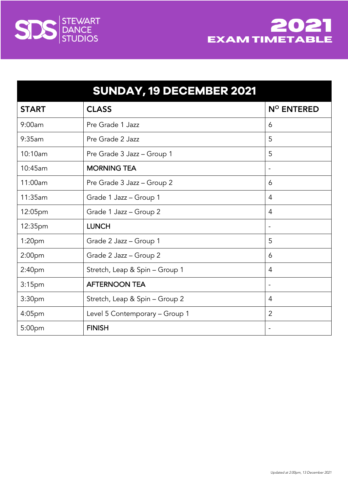



|                    | SUNDAY, 19 DECEMBER 2021       |                          |
|--------------------|--------------------------------|--------------------------|
| <b>START</b>       | <b>CLASS</b>                   | $N^{\circ}$ ENTERED      |
| 9:00am             | Pre Grade 1 Jazz               | 6                        |
| 9:35am             | Pre Grade 2 Jazz               | 5                        |
| 10:10am            | Pre Grade 3 Jazz - Group 1     | 5                        |
| 10:45am            | <b>MORNING TEA</b>             | $\overline{\phantom{0}}$ |
| 11:00am            | Pre Grade 3 Jazz - Group 2     | 6                        |
| 11:35am            | Grade 1 Jazz - Group 1         | 4                        |
| 12:05pm            | Grade 1 Jazz - Group 2         | $\overline{4}$           |
| 12:35pm            | <b>LUNCH</b>                   | $\overline{\phantom{a}}$ |
| 1:20 <sub>pm</sub> | Grade 2 Jazz - Group 1         | 5                        |
| 2:00 <sub>pm</sub> | Grade 2 Jazz - Group 2         | 6                        |
| 2:40 <sub>pm</sub> | Stretch, Leap & Spin - Group 1 | 4                        |
| 3:15 <sub>pm</sub> | <b>AFTERNOON TEA</b>           |                          |
| 3:30pm             | Stretch, Leap & Spin - Group 2 | 4                        |
| 4:05pm             | Level 5 Contemporary - Group 1 | $\overline{2}$           |
| 5:00pm             | <b>FINISH</b>                  | $\overline{\phantom{0}}$ |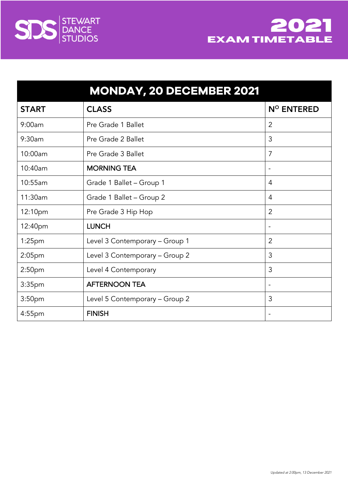



|                    | <b>MONDAY, 20 DECEMBER 2021</b> |                          |
|--------------------|---------------------------------|--------------------------|
| <b>START</b>       | <b>CLASS</b>                    | N <sup>o</sup> ENTERED   |
| 9:00am             | Pre Grade 1 Ballet              | $\overline{2}$           |
| 9:30am             | Pre Grade 2 Ballet              | 3                        |
| 10:00am            | Pre Grade 3 Ballet              | 7                        |
| 10:40am            | <b>MORNING TEA</b>              | $\overline{\phantom{0}}$ |
| 10:55am            | Grade 1 Ballet - Group 1        | 4                        |
| 11:30am            | Grade 1 Ballet - Group 2        | $\overline{4}$           |
| 12:10pm            | Pre Grade 3 Hip Hop             | 2                        |
| 12:40pm            | <b>LUNCH</b>                    | $\overline{\phantom{a}}$ |
| $1:25$ pm          | Level 3 Contemporary - Group 1  | $\overline{2}$           |
| $2:05$ pm          | Level 3 Contemporary - Group 2  | 3                        |
| 2:50 <sub>pm</sub> | Level 4 Contemporary            | 3                        |
| 3:35pm             | <b>AFTERNOON TEA</b>            | $\overline{\phantom{a}}$ |
| 3:50 <sub>pm</sub> | Level 5 Contemporary - Group 2  | 3                        |
| 4:55pm             | <b>FINISH</b>                   |                          |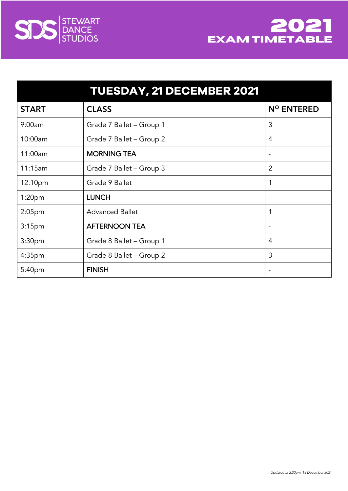



|                    | <b>TUESDAY, 21 DECEMBER 2021</b> |                        |
|--------------------|----------------------------------|------------------------|
| <b>START</b>       | <b>CLASS</b>                     | N <sup>o</sup> ENTERED |
| 9:00am             | Grade 7 Ballet - Group 1         | 3                      |
| 10:00am            | Grade 7 Ballet - Group 2         | 4                      |
| 11:00am            | <b>MORNING TEA</b>               |                        |
| 11:15am            | Grade 7 Ballet - Group 3         | 2                      |
| 12:10pm            | Grade 9 Ballet                   | 1                      |
| 1:20pm             | <b>LUNCH</b>                     | -                      |
| 2:05pm             | <b>Advanced Ballet</b>           | 1                      |
| 3:15 <sub>pm</sub> | <b>AFTERNOON TEA</b>             | -                      |
| 3:30pm             | Grade 8 Ballet - Group 1         | 4                      |
| 4:35 <sub>pm</sub> | Grade 8 Ballet - Group 2         | 3                      |
| 5:40pm             | <b>FINISH</b>                    |                        |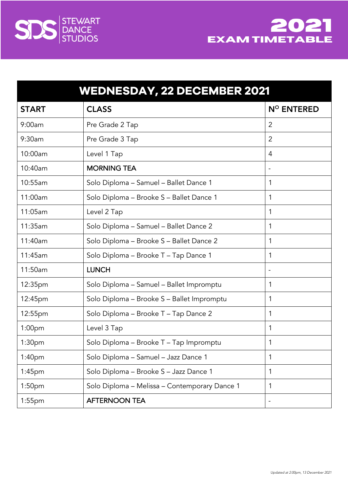

| <b>STEWART</b> |
|----------------|
| <b>DANCE</b>   |
| <b>STUDIOS</b> |

| <b>WEDNESDAY, 22 DECEMBER 2021</b> |                                               |                          |
|------------------------------------|-----------------------------------------------|--------------------------|
| <b>START</b>                       | <b>CLASS</b>                                  | N° ENTERED               |
| 9:00am                             | Pre Grade 2 Tap                               | 2                        |
| 9:30am                             | Pre Grade 3 Tap                               | $\overline{2}$           |
| 10:00am                            | Level 1 Tap                                   | $\overline{4}$           |
| 10:40am                            | <b>MORNING TEA</b>                            |                          |
| 10:55am                            | Solo Diploma - Samuel - Ballet Dance 1        | 1                        |
| 11:00am                            | Solo Diploma - Brooke S - Ballet Dance 1      | 1                        |
| 11:05am                            | Level 2 Tap                                   | 1                        |
| 11:35am                            | Solo Diploma - Samuel - Ballet Dance 2        | 1                        |
| 11:40am                            | Solo Diploma - Brooke S - Ballet Dance 2      | 1                        |
| 11:45am                            | Solo Diploma - Brooke T - Tap Dance 1         | 1                        |
| 11:50am                            | <b>LUNCH</b>                                  | $\overline{\phantom{a}}$ |
| 12:35pm                            | Solo Diploma - Samuel - Ballet Impromptu      | 1                        |
| 12:45pm                            | Solo Diploma - Brooke S - Ballet Impromptu    | 1                        |
| 12:55pm                            | Solo Diploma – Brooke T – Tap Dance 2         | 1                        |
| 1:00 <sub>pm</sub>                 | Level 3 Tap                                   | 1                        |
| 1:30 <sub>pm</sub>                 | Solo Diploma - Brooke T - Tap Impromptu       | 1                        |
| 1:40 <sub>pm</sub>                 | Solo Diploma - Samuel - Jazz Dance 1          | 1                        |
| $1:45$ pm                          | Solo Diploma - Brooke S - Jazz Dance 1        | 1                        |
| 1:50 <sub>pm</sub>                 | Solo Diploma - Melissa - Contemporary Dance 1 | 1                        |
| $1:55$ pm                          | <b>AFTERNOON TEA</b>                          |                          |